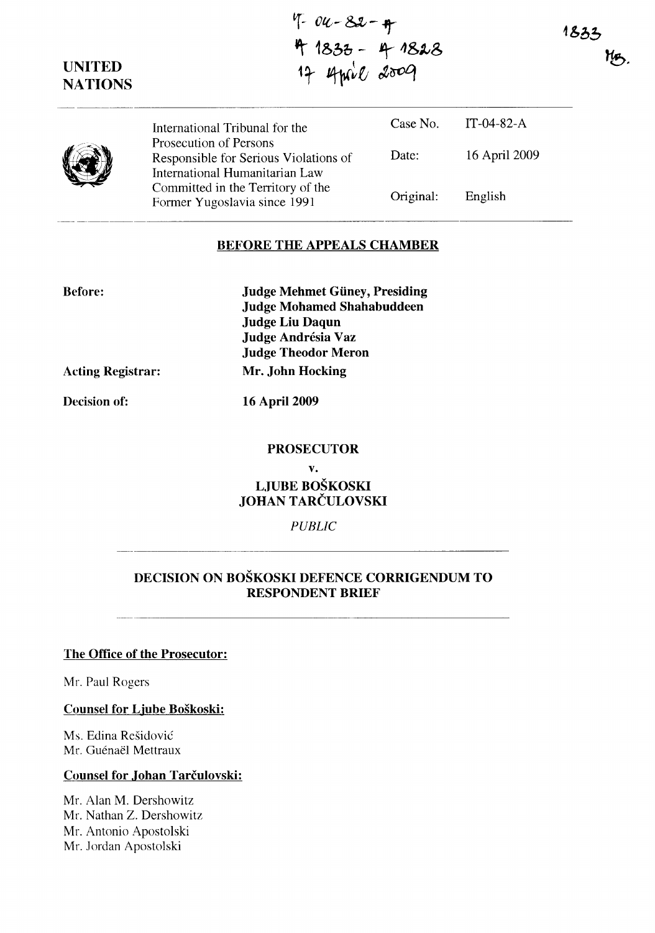$4 - 82 - 4$ ~ **1&00 -** ~ -1&~S 17 April 2009

**UNITED NATIONS** 

| International Tribunal for the                                                                    | Case No.  | IT-04-82-A    |  |
|---------------------------------------------------------------------------------------------------|-----------|---------------|--|
| Prosecution of Persons<br>Responsible for Serious Violations of<br>International Humanitarian Law | Date:     | 16 April 2009 |  |
| Committed in the Territory of the<br>Former Yugoslavia since 1991                                 | Original: | English       |  |

### **BEFORE THE APPEALS CHAMBER**

**Before:** 

**Judge Mehmet Giiney, Presiding Judge Mohamed Shahabuddeen Judge Liu Daqun Judge Andresia Vaz Judge Theodor Meron Acting Registrar: Mr. John Hocking** 

**Decision of: 16 April 2009** 

#### **PROSECUTOR**

**v.** 

# **LJUBE BOŠKOSKI JOHAN** TARČULOVSKI

*PUBLIC* 

## **DECISION ON BOŠKOSKI DEFENCE CORRIGENDUM TO RESPONDENT BRIEF**

### **The Office of the Prosecutor:**

Mr. Paul Rogers

**Counsel for Ljube Boškoski:** 

Ms. Edina Rešidović Mr. Guénaël Mettraux

### **Counsel for .Johan** Tarčulovski:

Mr. Alan M. Dershowitz Mr. Nathan Z. Dershowitz Mr. Antonio Apostolski Mr. Jordan Apostolski

1833 MB.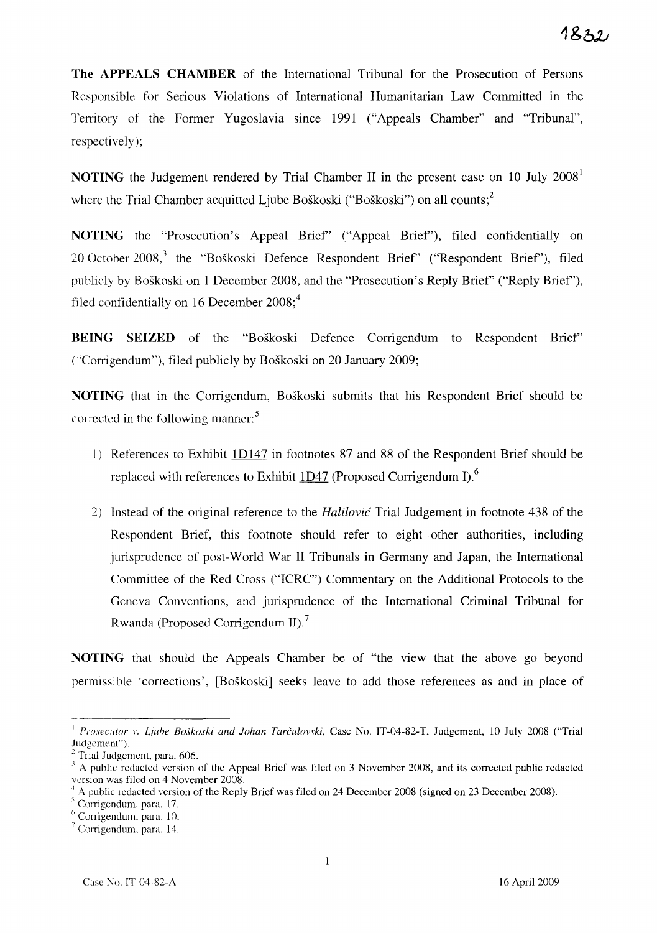**The APPEALS CHAMBER** of the International Tribunal for the Prosecution of Persons Responsible for Serious Violations of International Humanitarian Law Committed in the Territory of the Former Yugoslavia since 1991 ("Appeals Chamber" and "Tribunal", respectively);

**NOTING** the Judgement rendered by Trial Chamber II in the present case on 10 July 2008<sup>1</sup> where the Trial Chamber acquitted Ljube Boškoski ("Boškoski") on all counts:<sup>2</sup>

**NOTING** the "Prosecution's Appeal Brief' ("Appeal Brief'), filed confidentially on 20 October 2008,<sup>3</sup> the "Boškoski Defence Respondent Brief" ("Respondent Brief"), filed publicly by Boškoski on l December 2008, and the "Prosecution's Reply Brief' ("Reply Brief'), filed confidentially on 16 December  $2008$ ;<sup>4</sup>

**BEING SEIZED** of the "Boškoski Defence Corrigendum to Respondent Brief' ("'Corrigendum"), filed publicly by Boškoski on 20 January 2009;

**NOTING** that in the Corrigendum, Boškoski submits that his Respondent Brief should be corrected in the following manner.<sup>5</sup>

- l) References to Exhibit ID 147 in footnotes 87 and 88 of the Respondent Brief should be replaced with references to Exhibit  $1D47$  (Proposed Corrigendum I).<sup>6</sup>
- 2) Instead of the original reference to the Halilović Trial Judgement in footnote 438 of the Respondent Brief, this footnote should refer to eight other authorities, including jurisprudence of post-World War II Tribunals in Germany and Japan, the International Committee of the Red Cross ("ICRC") Commentary on the Additional Protocols to the Geneva Conventions, and jurisprudence of the International Criminal Tribunal for Rwanda (Proposed Corrigendum II).<sup>7</sup>

**NOTING** that should the Appeals Chamber be of "the view that the above go beyond permissible 'corrections', [Boškoski] seeks leave to add those references as and in place of

<sup>&</sup>lt;sup>1</sup> Prosecutor v. *Ljube Boškoski and Johan Tarčulovski*, Case No. IT-04-82-T, Judgement, 10 July 2008 ("Trial Judgement").

Trial Judgement, para. 606.

<sup>;</sup> A public redacted version of the Appeal Brief was filed on 3 November 2008, and its corrected public redacted version was filed on 4 November 2008.

<sup>+ 4.</sup> public redacted version of the Reply Brief was filed on 24 December 2008 (signed on 23 December 2008).

 $<sup>5</sup>$  Corrigendum, para. 17.</sup>

l' Corrigendum. para. lO.

 $<sup>7</sup>$  Corrigendum, para. 14.</sup>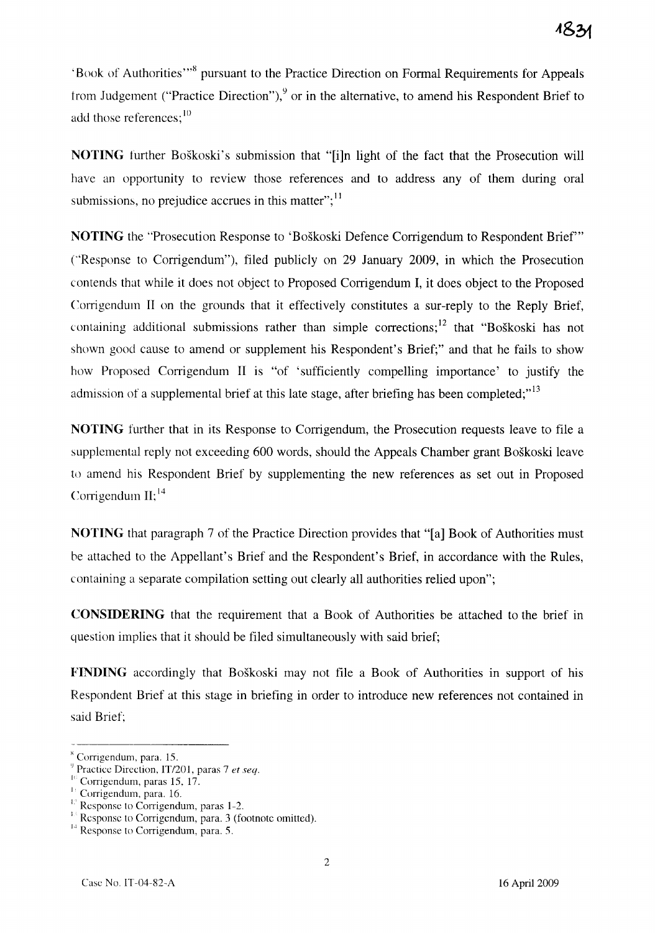'Book of Authorities'"<sup>8</sup> pursuant to the Practice Direction on Formal Requirements for Appeals from Judgement ("Practice Direction"), $9$  or in the alternative, to amend his Respondent Brief to add those references;<sup>10</sup>

**NOTING** further Boškoski's submission that "[i]n light of the fact that the Prosecution will have an opportunity to review those references and to address any of them during oral submissions, no prejudice accrues in this matter"; $<sup>11</sup>$ </sup>

**NOTING** the "Prosecution Response to 'Boškoski Defence Corrigendum to Respondent Brief'" ("Response to Corrigendum"), filed publicly on 29 January 2009, in which the Prosecution contends that while it does not object to Proposed Corrigendum I, it does object to the Proposed Corrigendum II on the grounds that it effectively constitutes a sur-reply to the Reply Brief, containing additional submissions rather than simple corrections; <sup>12</sup> that "Boškoski has not shown good cause to amend or supplement his Respondent's Brief;" and that he fails to show how Proposed Corrigendum II is "of 'sufficiently compelling importance' to justify the admission of a supplemental brief at this late stage, after briefing has been completed; $^{13}$ 

**NOTING** further that in its Response to Corrigendum, the Prosecution requests leave to file a supplemental reply not exceeding 600 words, should the Appeals Chamber grant Boškoski leave to amend his Respondent Brief by supplementing the new references as set out in Proposed Corrigendum  $II$ ;  $^{14}$ 

**NOTING** that paragraph 7 of the Practice Direction provides that "[a] Book of Authorities must be attached to the Appellant's Brief and the Respondent's Brief, in accordance with the Rules, containing a separate compilation setting out clearly all authorities relied upon";

**CONSIDERING** that the requirement that a Book of Authorities be attached to the brief in question implies that it should be filed simultaneously with said brief;

**FINDING** accordingly that Boškoski may not file a Book of Authorities in support of his Respondent Brief at this stage in briefing in order to introduce new references not contained in said Brief;

x Corrigendum, para. 15.

<sup>&</sup>lt;sup>9</sup> Practice Direction, IT/201, paras 7 et seq.

 $10$  Corrigendum, paras 15, 17.

Corrigendum, para. 16.

 $E<sup>D</sup>$  Response to Corrigendum, paras 1-2.

Response to Corrigendum, para. 3 (footnote omitted).

Response to Corrigendum, para. 5.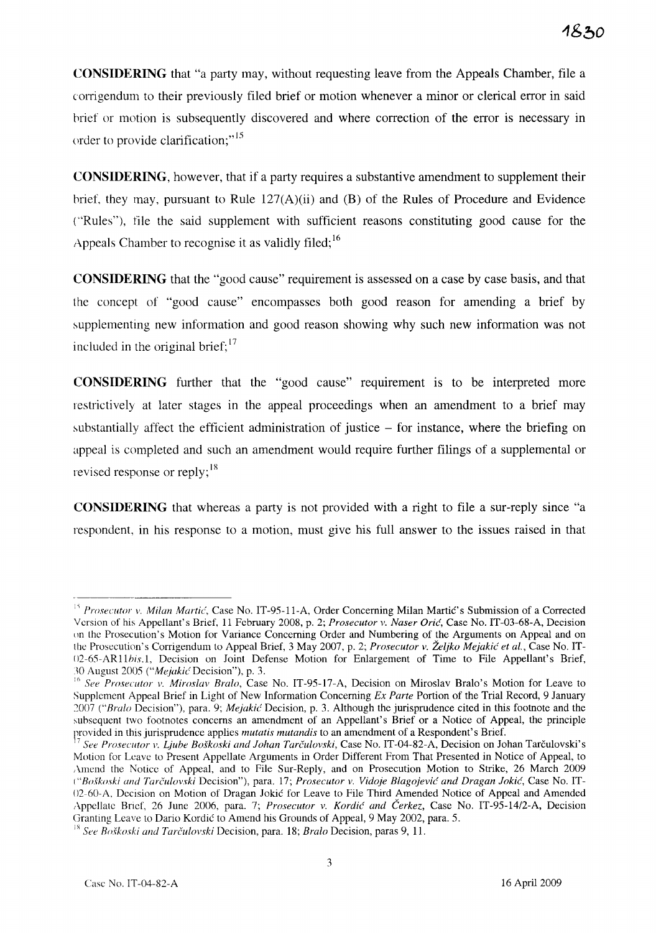**CONSIDERING** that "a party may, without requesting leave from the Appeals Chamber, file a (orrigendum to their previously filed brief or motion whenever a minor or clerical error in said hrief or motion is subsequently discovered and where correction of the error is necessary in order to provide clarification;"<sup>15</sup>

**CONSIDERING,** however, that if a party requires a substantive amendment to supplement their brief, they may, pursuant to Rule  $127(A)(ii)$  and (B) of the Rules of Procedure and Evidence ("Rules"), file the said supplement with sufficient reasons constituting good cause for the Appeals Chamber to recognise it as validly filed;  $16$ 

**CONSIDERING** that the "good cause" requirement is assessed on a case by case basis, and that the concept of "good cause" encompasses both good reason for amending a brief by supplementing new information and good reason showing why such new information was not included in the original brief;  $17$ 

**CONSIDERING** further that the "good cause" requirement is to be interpreted more restrictively at later stages in the appeal proceedings when an amendment to a brief may substantially affect the efficient administration of justice  $-$  for instance, where the briefing on appeal is completed and such an amendment would require further filings of a supplemental or revised response or reply;  $\frac{18}{18}$ 

**CONSIDERING** that whereas a party is not provided with a right to file a sur-reply since "a respondent, in his response to a motion, must give his full answer to the issues raised in that

<sup>&</sup>lt;sup>15</sup> Prosecutor v. Milan Martić, Case No. IT-95-11-A, Order Concerning Milan Martić's Submission of a Corrected Version of his Appellant's Brief, 11 February 2008, p. 2; *Prosecutor v. Naser Orić*, Case No. IT-03-68-A, Decision on the Prosecution's Motion for Variance Concerning Order and Numbering of the Arguments on Appeal and on the Prosecution' s Corrigendum to Appeal Brief, 3 May 2007, p. 2; *Prosecutor v. Željko* Mejakić *et al.,* Case No. IT-02-65-AR11bis.1, Decision on Joint Defense Motion for Enlargement of Time to File Appellant's Brief, 30 August 2005 *("Mejakić Decision")*, p. 3.

<sup>&</sup>lt;sup>16</sup> See Prosecutor v. Miroslav Bralo, Case No. IT-95-17-A, Decision on Miroslav Bralo's Motion for Leave to Supplement Appeal Brief in Light of New Information Concerning *Ex Parte* Portion of the Trial Record, 9 January 2007 ("Bralo Decision"), para. 9; *Mejakić* Decision, p. 3. Although the jurisprudence cited in this footnote and the subsequent two footnotes concerns an amendment of an Appellant's Brief or a Notice of Appeal, the principle provided in this jurisprudence applies *mutatis mutandis* to an amendment of a Respondent's Brief.

*<sup>5</sup>ee Prosecutor v. Ljube Boškoski and Johan Tarčulovski*, Case No. IT-04-82-A, Decision on Johan Tarčulovski's Motion for Leave to Present Appellate Arguments in Order Different From That Presented in Notice of Appeal, to ,\mend the Notice of Appeal, and to File Sur-Reply, and on Prosecution Motion to Strike, 26 March 2009 *("Bo,fkoski and* Tarc~ulovski Decision"), para. 17; *Prosecutor v. Vidoje* Blagojević *and Dragan* Jokić, Case No. IT-02-60-A, Decision on Motion of Dragan Jokić for Leave to File Third Amended Notice of Appeal and Amended Appellale Brief, 26 June 2006, para. 7; *Prosecutor v.* Kordić *and* Čerkez, Case No. IT-95-1412-A, Decision Granting Leave to Dario Kordić to Amend his Grounds of Appeal, 9 May 2002, para. 5.

<sup>&</sup>lt;sup>18</sup> See Boškoski and Tarčulovski Decision, para. 18; *Bralo* Decision, paras 9, 11.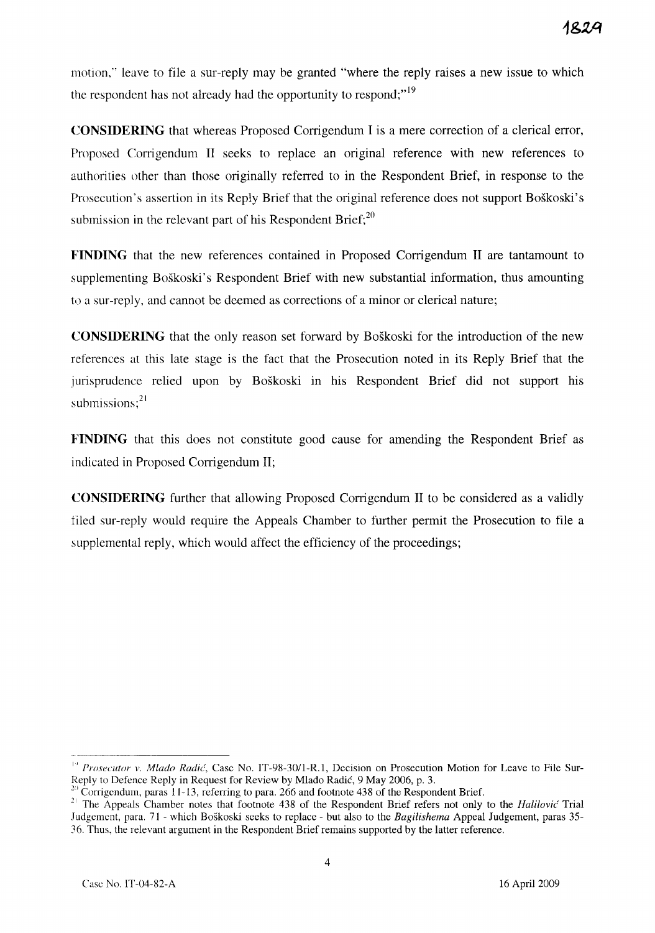motion," leave to file a sur-reply may be granted "where the reply raises a new issue to which the respondent has not already had the opportunity to respond;"<sup>19</sup>

**CONSIDERING** that whereas Proposed Corrigendum I is a mere correction of a clerical error, Proposed Corrigendum II seeks to replace an original reference with new references to authorities other than those originally referred to in the Respondent Brief, in response to the Prosecution's assertion in its Reply Brief that the original reference does not support Boškoski's submission in the relevant part of his Respondent Brief; $^{20}$ 

**FINDING** that the new references contained in Proposed Corrigendum II are tantamount to supplementing Boškoski's Respondent Brief with new substantial information, thus amounting to a sur-reply, and cannot be deemed as corrections of a minor or clerical nature;

**CONSIDERING** that the only reason set forward by Boškoski for the introduction of the new references at this late stage is the fact that the Prosecution noted in its Reply Brief that the jurisprudence relied upon by Boškoski in his Respondent Brief did not support his jurisprudence<br>submissions;<sup>21</sup>

**FINDING** that this does not constitute good cause for amending the Respondent Brief as indicated in Proposed Corrigendum II;

**CONSIDERING** further that allowing Proposed Corrigendum II to be considered as a validly filed sur-reply would require the Appeals Chamber to further permit the Prosecution to file a supplemental reply, which would affect the efficiency of the proceedings;

<sup>&</sup>lt;sup>19</sup> Prosecutor v. Mlado Radić, Case No. IT-98-30/1-R.1, Decision on Prosecution Motion for Leave to File Sur-Reply to Defence Reply in Request for Review by Mlađo Radić, 9 May 2006, p. 3.

<sup>&</sup>lt;sup>20</sup> Corrigendum, paras 11-13, referring to para. 266 and footnote 438 of the Respondent Brief.

<sup>&</sup>lt;sup>21</sup> The Appeals Chamber notes that footnote 438 of the Respondent Brief refers not only to the *Halilović* Trial Judgement, para. 71 - which Boškoski seeks to replace - but also to the *Bagilishema* Appeal Judgement, paras 35- 36. Thus, the relevant argument in the Respondent Brief remains supported by the latter reference.